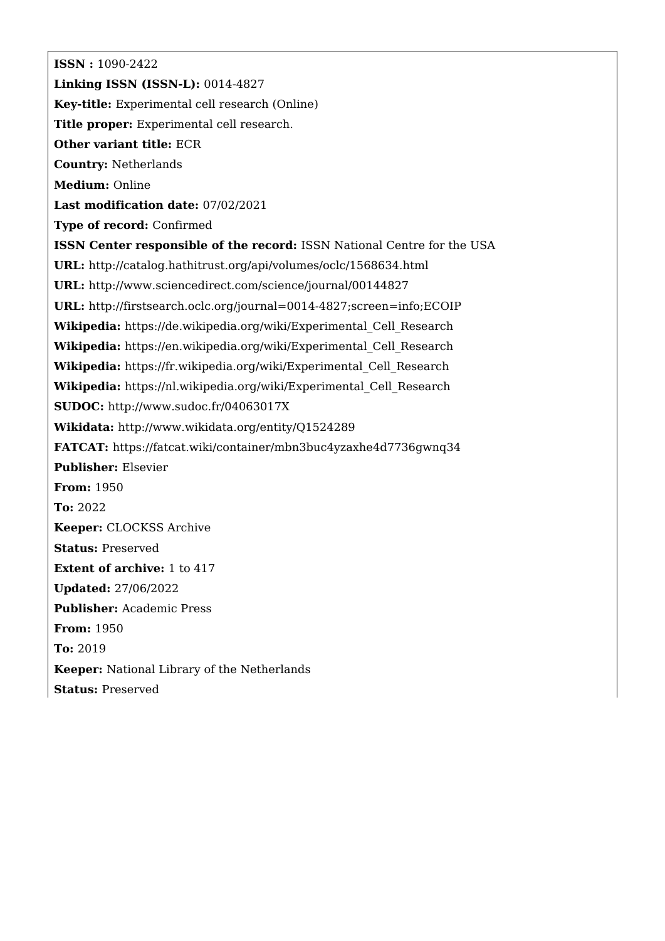**ISSN :** 1090-2422 **Linking ISSN (ISSN-L):** 0014-4827 **Key-title:** Experimental cell research (Online) **Title proper:** Experimental cell research. **Other variant title:** ECR **Country:** Netherlands **Medium:** Online **Last modification date:** 07/02/2021 **Type of record:** Confirmed **ISSN Center responsible of the record:** ISSN National Centre for the USA **URL:** <http://catalog.hathitrust.org/api/volumes/oclc/1568634.html> **URL:** <http://www.sciencedirect.com/science/journal/00144827> **URL:** <http://firstsearch.oclc.org/journal=0014-4827;screen=info;ECOIP> **Wikipedia:** [https://de.wikipedia.org/wiki/Experimental\\_Cell\\_Research](https://de.wikipedia.org/wiki/Experimental_Cell_Research) **Wikipedia:** [https://en.wikipedia.org/wiki/Experimental\\_Cell\\_Research](https://en.wikipedia.org/wiki/Experimental_Cell_Research) **Wikipedia:** [https://fr.wikipedia.org/wiki/Experimental\\_Cell\\_Research](https://fr.wikipedia.org/wiki/Experimental_Cell_Research) **Wikipedia:** [https://nl.wikipedia.org/wiki/Experimental\\_Cell\\_Research](https://nl.wikipedia.org/wiki/Experimental_Cell_Research) **SUDOC:** <http://www.sudoc.fr/04063017X> **Wikidata:** <http://www.wikidata.org/entity/Q1524289> **FATCAT:** <https://fatcat.wiki/container/mbn3buc4yzaxhe4d7736gwnq34> **Publisher:** Elsevier **From:** 1950 **To:** 2022 **Keeper:** CLOCKSS Archive **Status:** Preserved **Extent of archive:** 1 to 417 **Updated:** 27/06/2022 **Publisher:** Academic Press **From:** 1950 **To:** 2019 **Keeper:** National Library of the Netherlands **Status:** Preserved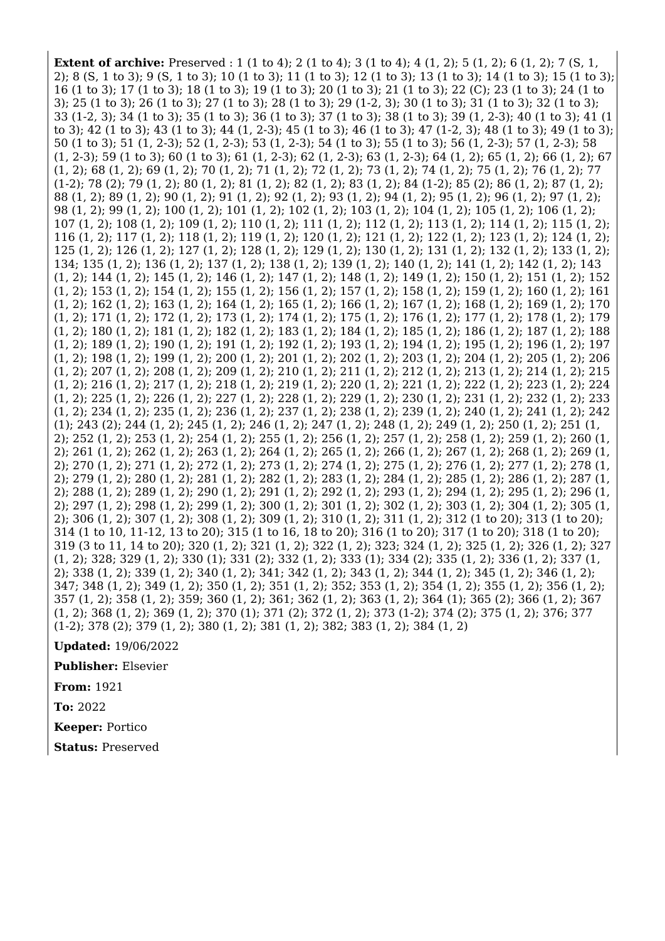**Extent of archive:** Preserved : 1 (1 to 4); 2 (1 to 4); 3 (1 to 4); 4 (1, 2); 5 (1, 2); 6 (1, 2); 7 (S, 1, 2); 8 (S, 1 to 3); 9 (S, 1 to 3); 10 (1 to 3); 11 (1 to 3); 12 (1 to 3); 13 (1 to 3); 14 (1 to 3); 15 (1 to 3); 16 (1 to 3); 17 (1 to 3); 18 (1 to 3); 19 (1 to 3); 20 (1 to 3); 21 (1 to 3); 22 (C); 23 (1 to 3); 24 (1 to 3); 25 (1 to 3); 26 (1 to 3); 27 (1 to 3); 28 (1 to 3); 29 (1-2, 3); 30 (1 to 3); 31 (1 to 3); 32 (1 to 3); 33 (1-2, 3); 34 (1 to 3); 35 (1 to 3); 36 (1 to 3); 37 (1 to 3); 38 (1 to 3); 39 (1, 2-3); 40 (1 to 3); 41 (1 to 3); 42 (1 to 3); 43 (1 to 3); 44 (1, 2-3); 45 (1 to 3); 46 (1 to 3); 47 (1-2, 3); 48 (1 to 3); 49 (1 to 3); 50 (1 to 3); 51 (1, 2-3); 52 (1, 2-3); 53 (1, 2-3); 54 (1 to 3); 55 (1 to 3); 56 (1, 2-3); 57 (1, 2-3); 58 (1, 2-3); 59 (1 to 3); 60 (1 to 3); 61 (1, 2-3); 62 (1, 2-3); 63 (1, 2-3); 64 (1, 2); 65 (1, 2); 66 (1, 2); 67 (1, 2); 68 (1, 2); 69 (1, 2); 70 (1, 2); 71 (1, 2); 72 (1, 2); 73 (1, 2); 74 (1, 2); 75 (1, 2); 76 (1, 2); 77 (1-2); 78 (2); 79 (1, 2); 80 (1, 2); 81 (1, 2); 82 (1, 2); 83 (1, 2); 84 (1-2); 85 (2); 86 (1, 2); 87 (1, 2); 88 (1, 2); 89 (1, 2); 90 (1, 2); 91 (1, 2); 92 (1, 2); 93 (1, 2); 94 (1, 2); 95 (1, 2); 96 (1, 2); 97 (1, 2); 98 (1, 2); 99 (1, 2); 100 (1, 2); 101 (1, 2); 102 (1, 2); 103 (1, 2); 104 (1, 2); 105 (1, 2); 106 (1, 2); 107 (1, 2); 108 (1, 2); 109 (1, 2); 110 (1, 2); 111 (1, 2); 112 (1, 2); 113 (1, 2); 114 (1, 2); 115 (1, 2); 116 (1, 2); 117 (1, 2); 118 (1, 2); 119 (1, 2); 120 (1, 2); 121 (1, 2); 122 (1, 2); 123 (1, 2); 124 (1, 2); 125 (1, 2); 126 (1, 2); 127 (1, 2); 128 (1, 2); 129 (1, 2); 130 (1, 2); 131 (1, 2); 132 (1, 2); 133 (1, 2); 134; 135 (1, 2); 136 (1, 2); 137 (1, 2); 138 (1, 2); 139 (1, 2); 140 (1, 2); 141 (1, 2); 142 (1, 2); 143 (1, 2); 144 (1, 2); 145 (1, 2); 146 (1, 2); 147 (1, 2); 148 (1, 2); 149 (1, 2); 150 (1, 2); 151 (1, 2); 152 (1, 2); 153 (1, 2); 154 (1, 2); 155 (1, 2); 156 (1, 2); 157 (1, 2); 158 (1, 2); 159 (1, 2); 160 (1, 2); 161 (1, 2); 162 (1, 2); 163 (1, 2); 164 (1, 2); 165 (1, 2); 166 (1, 2); 167 (1, 2); 168 (1, 2); 169 (1, 2); 170 (1, 2); 171 (1, 2); 172 (1, 2); 173 (1, 2); 174 (1, 2); 175 (1, 2); 176 (1, 2); 177 (1, 2); 178 (1, 2); 179 (1, 2); 180 (1, 2); 181 (1, 2); 182 (1, 2); 183 (1, 2); 184 (1, 2); 185 (1, 2); 186 (1, 2); 187 (1, 2); 188 (1, 2); 189 (1, 2); 190 (1, 2); 191 (1, 2); 192 (1, 2); 193 (1, 2); 194 (1, 2); 195 (1, 2); 196 (1, 2); 197 (1, 2); 198 (1, 2); 199 (1, 2); 200 (1, 2); 201 (1, 2); 202 (1, 2); 203 (1, 2); 204 (1, 2); 205 (1, 2); 206 (1, 2); 207 (1, 2); 208 (1, 2); 209 (1, 2); 210 (1, 2); 211 (1, 2); 212 (1, 2); 213 (1, 2); 214 (1, 2); 215 (1, 2); 216 (1, 2); 217 (1, 2); 218 (1, 2); 219 (1, 2); 220 (1, 2); 221 (1, 2); 222 (1, 2); 223 (1, 2); 224 (1, 2); 225 (1, 2); 226 (1, 2); 227 (1, 2); 228 (1, 2); 229 (1, 2); 230 (1, 2); 231 (1, 2); 232 (1, 2); 233 (1, 2); 234 (1, 2); 235 (1, 2); 236 (1, 2); 237 (1, 2); 238 (1, 2); 239 (1, 2); 240 (1, 2); 241 (1, 2); 242 (1); 243 (2); 244 (1, 2); 245 (1, 2); 246 (1, 2); 247 (1, 2); 248 (1, 2); 249 (1, 2); 250 (1, 2); 251 (1, 2); 252 (1, 2); 253 (1, 2); 254 (1, 2); 255 (1, 2); 256 (1, 2); 257 (1, 2); 258 (1, 2); 259 (1, 2); 260 (1, 2); 261 (1, 2); 262 (1, 2); 263 (1, 2); 264 (1, 2); 265 (1, 2); 266 (1, 2); 267 (1, 2); 268 (1, 2); 269 (1, 2); 270 (1, 2); 271 (1, 2); 272 (1, 2); 273 (1, 2); 274 (1, 2); 275 (1, 2); 276 (1, 2); 277 (1, 2); 278 (1, 2); 279 (1, 2); 280 (1, 2); 281 (1, 2); 282 (1, 2); 283 (1, 2); 284 (1, 2); 285 (1, 2); 286 (1, 2); 287 (1, 2); 288 (1, 2); 289 (1, 2); 290 (1, 2); 291 (1, 2); 292 (1, 2); 293 (1, 2); 294 (1, 2); 295 (1, 2); 296 (1, 2); 297 (1, 2); 298 (1, 2); 299 (1, 2); 300 (1, 2); 301 (1, 2); 302 (1, 2); 303 (1, 2); 304 (1, 2); 305 (1, 2); 306 (1, 2); 307 (1, 2); 308 (1, 2); 309 (1, 2); 310 (1, 2); 311 (1, 2); 312 (1 to 20); 313 (1 to 20); 314 (1 to 10, 11-12, 13 to 20); 315 (1 to 16, 18 to 20); 316 (1 to 20); 317 (1 to 20); 318 (1 to 20); 319 (3 to 11, 14 to 20); 320 (1, 2); 321 (1, 2); 322 (1, 2); 323; 324 (1, 2); 325 (1, 2); 326 (1, 2); 327 (1, 2); 328; 329 (1, 2); 330 (1); 331 (2); 332 (1, 2); 333 (1); 334 (2); 335 (1, 2); 336 (1, 2); 337 (1, 2); 338 (1, 2); 339 (1, 2); 340 (1, 2); 341; 342 (1, 2); 343 (1, 2); 344 (1, 2); 345 (1, 2); 346 (1, 2); 347; 348 (1, 2); 349 (1, 2); 350 (1, 2); 351 (1, 2); 352; 353 (1, 2); 354 (1, 2); 355 (1, 2); 356 (1, 2); 357 (1, 2); 358 (1, 2); 359; 360 (1, 2); 361; 362 (1, 2); 363 (1, 2); 364 (1); 365 (2); 366 (1, 2); 367 (1, 2); 368 (1, 2); 369 (1, 2); 370 (1); 371 (2); 372 (1, 2); 373 (1-2); 374 (2); 375 (1, 2); 376; 377 (1-2); 378 (2); 379 (1, 2); 380 (1, 2); 381 (1, 2); 382; 383 (1, 2); 384 (1, 2)

**Updated:** 19/06/2022

**Publisher:** Elsevier

**From:** 1921

**To:** 2022

**Keeper:** Portico

**Status:** Preserved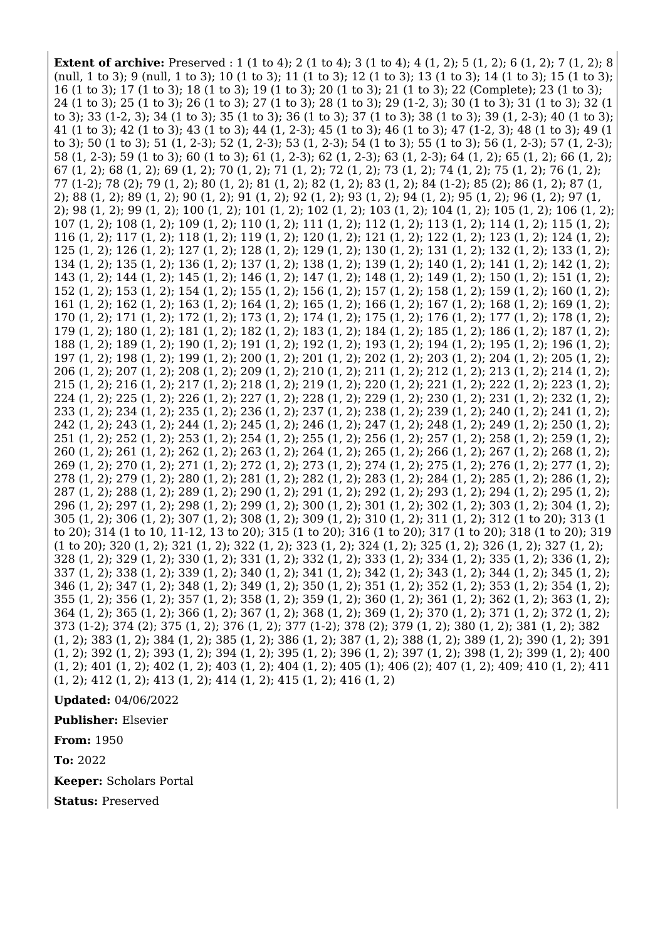**Extent of archive:** Preserved : 1 (1 to 4); 2 (1 to 4); 3 (1 to 4); 4 (1, 2); 5 (1, 2); 6 (1, 2); 7 (1, 2); 8 (null, 1 to 3); 9 (null, 1 to 3); 10 (1 to 3); 11 (1 to 3); 12 (1 to 3); 13 (1 to 3); 14 (1 to 3); 15 (1 to 3); 16 (1 to 3); 17 (1 to 3); 18 (1 to 3); 19 (1 to 3); 20 (1 to 3); 21 (1 to 3); 22 (Complete); 23 (1 to 3); 24 (1 to 3); 25 (1 to 3); 26 (1 to 3); 27 (1 to 3); 28 (1 to 3); 29 (1-2, 3); 30 (1 to 3); 31 (1 to 3); 32 (1 to 3); 33 (1-2, 3); 34 (1 to 3); 35 (1 to 3); 36 (1 to 3); 37 (1 to 3); 38 (1 to 3); 39 (1, 2-3); 40 (1 to 3); 41 (1 to 3); 42 (1 to 3); 43 (1 to 3); 44 (1, 2-3); 45 (1 to 3); 46 (1 to 3); 47 (1-2, 3); 48 (1 to 3); 49 (1 to 3); 50 (1 to 3); 51 (1, 2-3); 52 (1, 2-3); 53 (1, 2-3); 54 (1 to 3); 55 (1 to 3); 56 (1, 2-3); 57 (1, 2-3);  $58$  (1, 2-3); 59 (1 to 3); 60 (1 to 3); 60 (1 to 3); 61 (1, 2-3); 62 (1, 2-3); 63 (1, 2-3); 64 (1, 2); 65 (1, 2); 66 (1, 2); 67 (1, 2); 68 (1, 2); 69 (1, 2); 70 (1, 2); 71 (1, 2); 72 (1, 2); 73 (1, 2); 74 (1, 2); 75 (1, 2); 76 (1, 2); 77 (1-2); 78 (2); 79 (1, 2); 80 (1, 2); 81 (1, 2); 82 (1, 2); 83 (1, 2); 84 (1-2); 85 (2); 86 (1, 2); 87 (1, 2); 88 (1, 2); 89 (1, 2); 90 (1, 2); 91 (1, 2); 92 (1, 2); 93 (1, 2); 94 (1, 2); 95 (1, 2); 96 (1, 2); 97 (1, 2); 98 (1, 2); 99 (1, 2); 100 (1, 2); 101 (1, 2); 102 (1, 2); 103 (1, 2); 104 (1, 2); 105 (1, 2); 106 (1, 2); 107 (1, 2); 108 (1, 2); 109 (1, 2); 110 (1, 2); 111 (1, 2); 112 (1, 2); 113 (1, 2); 114 (1, 2); 115 (1, 2); 116 (1, 2); 117 (1, 2); 118 (1, 2); 119 (1, 2); 120 (1, 2); 121 (1, 2); 122 (1, 2); 123 (1, 2); 124 (1, 2); 125 (1, 2); 126 (1, 2); 127 (1, 2); 128 (1, 2); 129 (1, 2); 130 (1, 2); 131 (1, 2); 132 (1, 2); 133 (1, 2); 134 (1, 2); 135 (1, 2); 136 (1, 2); 137 (1, 2); 138 (1, 2); 139 (1, 2); 140 (1, 2); 141 (1, 2); 142 (1, 2); 143 (1, 2); 144 (1, 2); 145 (1, 2); 146 (1, 2); 147 (1, 2); 148 (1, 2); 149 (1, 2); 150 (1, 2); 151 (1, 2); 152 (1, 2); 153 (1, 2); 154 (1, 2); 155 (1, 2); 156 (1, 2); 157 (1, 2); 158 (1, 2); 159 (1, 2); 160 (1, 2); 161 (1, 2); 162 (1, 2); 163 (1, 2); 164 (1, 2); 165 (1, 2); 166 (1, 2); 167 (1, 2); 168 (1, 2); 169 (1, 2); 170 (1, 2); 171 (1, 2); 172 (1, 2); 173 (1, 2); 174 (1, 2); 175 (1, 2); 176 (1, 2); 177 (1, 2); 178 (1, 2); 179 (1, 2); 180 (1, 2); 181 (1, 2); 182 (1, 2); 183 (1, 2); 184 (1, 2); 185 (1, 2); 186 (1, 2); 187 (1, 2); 188 (1, 2); 189 (1, 2); 190 (1, 2); 191 (1, 2); 192 (1, 2); 193 (1, 2); 194 (1, 2); 195 (1, 2); 196 (1, 2); 197 (1, 2); 198 (1, 2); 199 (1, 2); 200 (1, 2); 201 (1, 2); 202 (1, 2); 203 (1, 2); 204 (1, 2); 205 (1, 2); 206 (1, 2); 207 (1, 2); 208 (1, 2); 209 (1, 2); 210 (1, 2); 211 (1, 2); 212 (1, 2); 213 (1, 2); 214 (1, 2); 215 (1, 2); 216 (1, 2); 217 (1, 2); 218 (1, 2); 219 (1, 2); 220 (1, 2); 221 (1, 2); 222 (1, 2); 223 (1, 2); 224 (1, 2); 225 (1, 2); 226 (1, 2); 227 (1, 2); 228 (1, 2); 229 (1, 2); 230 (1, 2); 231 (1, 2); 232 (1, 2); 233 (1, 2); 234 (1, 2); 235 (1, 2); 236 (1, 2); 237 (1, 2); 238 (1, 2); 239 (1, 2); 240 (1, 2); 241 (1, 2); 242 (1, 2); 243 (1, 2); 244 (1, 2); 245 (1, 2); 246 (1, 2); 247 (1, 2); 248 (1, 2); 249 (1, 2); 250 (1, 2); 251 (1, 2); 252 (1, 2); 253 (1, 2); 254 (1, 2); 255 (1, 2); 256 (1, 2); 257 (1, 2); 258 (1, 2); 259 (1, 2); 260 (1, 2); 261 (1, 2); 262 (1, 2); 263 (1, 2); 264 (1, 2); 265 (1, 2); 266 (1, 2); 267 (1, 2); 268 (1, 2); 269 (1, 2); 270 (1, 2); 271 (1, 2); 272 (1, 2); 273 (1, 2); 274 (1, 2); 275 (1, 2); 276 (1, 2); 277 (1, 2); 278 (1, 2); 279 (1, 2); 280 (1, 2); 281 (1, 2); 282 (1, 2); 283 (1, 2); 284 (1, 2); 285 (1, 2); 286 (1, 2); 287 (1, 2); 288 (1, 2); 289 (1, 2); 290 (1, 2); 291 (1, 2); 292 (1, 2); 293 (1, 2); 294 (1, 2); 295 (1, 2); 296 (1, 2); 297 (1, 2); 298 (1, 2); 299 (1, 2); 300 (1, 2); 301 (1, 2); 302 (1, 2); 303 (1, 2); 304 (1, 2); 305 (1, 2); 306 (1, 2); 307 (1, 2); 308 (1, 2); 309 (1, 2); 310 (1, 2); 311 (1, 2); 312 (1 to 20); 313 (1 to 20); 314 (1 to 10, 11-12, 13 to 20); 315 (1 to 20); 316 (1 to 20); 317 (1 to 20); 318 (1 to 20); 319 (1 to 20); 320 (1, 2); 321 (1, 2); 322 (1, 2); 323 (1, 2); 324 (1, 2); 325 (1, 2); 326 (1, 2); 327 (1, 2); 328 (1, 2); 329 (1, 2); 330 (1, 2); 331 (1, 2); 332 (1, 2); 333 (1, 2); 334 (1, 2); 335 (1, 2); 336 (1, 2); 337 (1, 2); 338 (1, 2); 339 (1, 2); 340 (1, 2); 341 (1, 2); 342 (1, 2); 343 (1, 2); 344 (1, 2); 345 (1, 2); 346 (1, 2); 347 (1, 2); 348 (1, 2); 349 (1, 2); 350 (1, 2); 351 (1, 2); 352 (1, 2); 353 (1, 2); 354 (1, 2); 355 (1, 2); 356 (1, 2); 357 (1, 2); 358 (1, 2); 359 (1, 2); 360 (1, 2); 361 (1, 2); 362 (1, 2); 363 (1, 2); 364 (1, 2); 365 (1, 2); 366 (1, 2); 367 (1, 2); 368 (1, 2); 369 (1, 2); 370 (1, 2); 371 (1, 2); 372 (1, 2); 373 (1-2); 374 (2); 375 (1, 2); 376 (1, 2); 377 (1-2); 378 (2); 379 (1, 2); 380 (1, 2); 381 (1, 2); 382 (1, 2); 383 (1, 2); 384 (1, 2); 385 (1, 2); 386 (1, 2); 387 (1, 2); 388 (1, 2); 389 (1, 2); 390 (1, 2); 391 (1, 2); 392 (1, 2); 393 (1, 2); 394 (1, 2); 395 (1, 2); 396 (1, 2); 397 (1, 2); 398 (1, 2); 399 (1, 2); 400 (1, 2); 401 (1, 2); 402 (1, 2); 403 (1, 2); 404 (1, 2); 405 (1); 406 (2); 407 (1, 2); 409; 410 (1, 2); 411 (1, 2); 412 (1, 2); 413 (1, 2); 414 (1, 2); 415 (1, 2); 416 (1, 2)

**Updated:** 04/06/2022

**Publisher:** Elsevier

**From:** 1950

**To:** 2022

**Keeper:** Scholars Portal

**Status:** Preserved